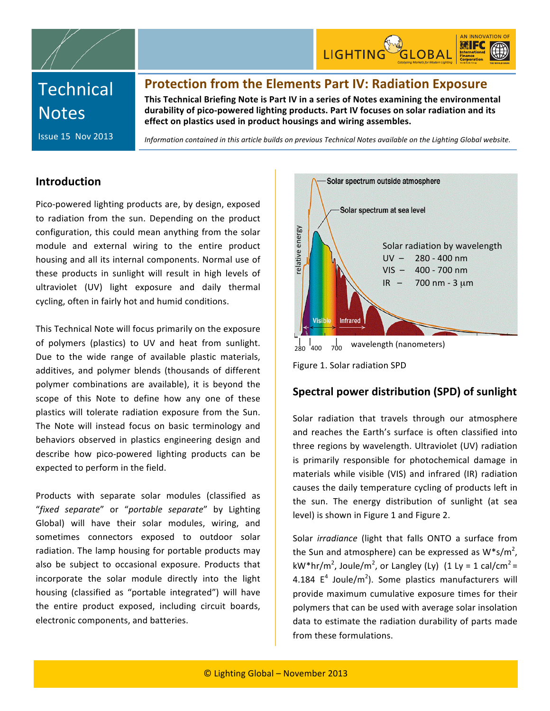

# **Technical Notes**

**Protection
from
the
Elements
Part
IV:
Radiation
Exposure**

This Technical Briefing Note is Part IV in a series of Notes examining the environmental durability of pico-powered lighting products. Part IV focuses on solar radiation and its effect on plastics used in product housings and wiring assembles.

Issue
15

Nov 2013

Information contained in this article builds on previous Technical Notes available on the Lighting Global website.

## **Introduction**

Pico‐powered
lighting
products
are,
by
design,
exposed to radiation from the sun. Depending on the product configuration, this could mean anything from the solar module
 and
 external
 wiring
 to
 the
 entire
 product housing
and
all
its
internal
components.
Normal
use
of these products in sunlight will result in high levels of ultraviolet
 (UV)
 light
 exposure
 and daily thermal cycling,
often
in
fairly
hot
and
humid
conditions.

This
Technical
Note
will
focus
primarily
on
the
exposure of
 polymers
 (plastics)
 to
 UV
 and
 heat
 from
 sunlight. Due to the wide range of available plastic materials, additives,
 and polymer
 blends (thousands
 of
 different polymer combinations are
 available),
 it
 is
 beyond
 the scope
 of
 this
 Note to define
 how
 any one of
 these plastics
 will
 tolerate
 radiation
 exposure
 from
 the
 Sun. The Note
 will
 instead
 focus
 on basic
 terminology
 and behaviors
 observed
 in
 plastics
 engineering
 design
 and describe how pico-powered lighting products can be expected
to
perform
in
the
field.

Products with separate solar modules (classified as "fixed separate" or "portable separate" by Lighting Global) will have their solar modules, wiring, and sometimes
 connectors exposed
 to
 outdoor
 solar radiation. The lamp housing for portable products may also
 be
 subject
 to
 occasional
 exposure. Products
 that incorporate the solar module directly into the light housing
 (classified
 as
 "portable
 integrated")
 will
 have the
 entire
 product exposed, including
 circuit
 boards, electronic
components,
and
batteries.



Figure
1.
Solar
radiation
SPD

## **Spectral
power
distribution
(SPD)
of
sunlight**

Solar radiation that travels through our atmosphere and reaches the Earth's surface is often classified into three
regions
by
wavelength. Ultraviolet
 (UV) radiation is primarily responsible for photochemical damage in materials while visible (VIS) and infrared (IR) radiation causes
the
daily
temperature
cycling
of
products
left
in the
 sun. The
 energy
 distribution
 of
 sunlight
 (at sea level)
is
shown
in
Figure
1 and
Figure
2.

Solar *irradiance* (light that falls ONTO a surface from the Sun and atmosphere) can be expressed as  $W^*s/m^2$ , kW\*hr/m<sup>2</sup>, Joule/m<sup>2</sup>, or Langley (Ly) (1 Ly = 1 cal/cm<sup>2</sup> = 4.184  $E^4$  Joule/m<sup>2</sup>). Some plastics manufacturers will provide
maximum
 cumulative
exposure
 times
 for
 their polymers
that
can
be
used
with
average
solar
insolation data
to
estimate
the
radiation
durability
of
parts
made from
these
formulations.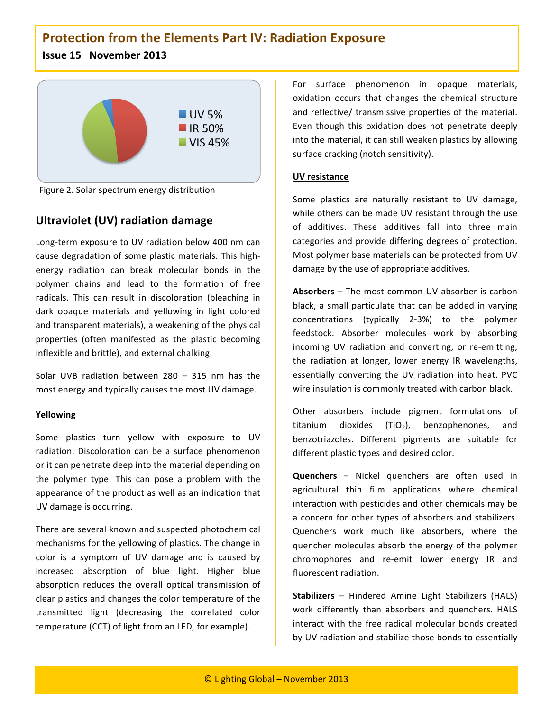# **Protection
from
the
Elements
Part
IV:
Radiation
Exposure**

### **Issue
15

November
2013**



Figure
2.
Solar
spectrum
energy distribution

# **Ultraviolet
(UV)
radiation damage**

Long-term exposure to UV radiation below 400 nm can cause
degradation
of
some
plastic
materials.
This
high‐ energy
 radiation
 can
 break
 molecular
 bonds
 in
 the polymer
 chains
 and
 lead
 to
 the
 formation
 of
 free radicals. This can result in discoloration (bleaching in dark opaque materials and yellowing in light colored and
transparent
materials),
a
weakening
of
the
physical properties
 (often
 manifested
 as
 the
 plastic
 becoming inflexible
and
brittle),
and
external
chalking.

Solar
 UVB
 radiation
 between
 280 – 315
 nm
 has
 the most
energy
and
typically
causes
the
most
UV
damage.

#### **Yellowing**

Some plastics turn yellow with exposure to UV radiation. Discoloration can be a surface phenomenon or
it
can
penetrate
deep into
the
material
depending
on the
 polymer
 type. This
 can
 pose
 a
 problem
 with
 the appearance
of
the
product
as
well
as an
indication
that UV
damage
is
occurring.

There
are
several
known
and
suspected
photochemical mechanisms for
the
yellowing
of
plastics.
The
change
in color is a symptom of UV damage and is caused by increased
 absorption
 of
 blue
 light.
 Higher
 blue absorption reduces the overall optical transmission of clear
plastics
and
changes the
color
temperature
of
the transmitted
 light (decreasing
 the correlated
 color temperature
(CCT) of
light
from
an
LED,
for
example).

For
 surface
 phenomenon in
 opaque
 materials, oxidation
 occurs
 that
 changes
 the
 chemical
 structure and
 reflective/
transmissive
properties
of
 the
material. Even though this oxidation does not penetrate deeply into
the
material,
it
can
still
weaken
plastics
by
allowing surface
cracking
(notch
sensitivity).

#### **UV
resistance**

Some plastics are naturally resistant to UV damage, while others can be made UV resistant through the use of
 additives.
 These
 additives
 fall
 into three main categories
and
provide
differing
degrees
of
protection. Most
polymer
base
materials
can
be
protected
from
UV damage
by
the
use
of
appropriate
additives.

Absorbers - The most common UV absorber is carbon black, a small particulate that can be added in varying concentrations (typically
 2‐3%) to the polymer feedstock.
 Absorber
 molecules
 work
 by
 absorbing incoming UV radiation and converting, or re-emitting, the radiation at longer, lower energy IR wavelengths, essentially converting the UV radiation into heat. PVC wire insulation is commonly treated with carbon black.

Other absorbers include pigment formulations of titanium dioxides (TiO<sub>2</sub>), benzophenones, and benzotriazoles. Different
 pigments
 are
 suitable
 for different
plastic
types
and
desired
color.

**Quenchers** – Nickel quenchers are often used in agricultural
 thin
 film
 applications
 where
 chemical interaction
with
pesticides
and
other
chemicals
may
be a concern for other types of absorbers and stabilizers. Quenchers work much like absorbers, where the quencher
molecules
absorb
 the
energy
of
 the
polymer chromophores and re-emit lower energy IR and fluorescent
radiation.

**Stabilizers** – Hindered
 Amine
 Light
 Stabilizers
 (HALS) work differently than absorbers and quenchers. HALS interact
 with
 the
 free
 radical
molecular
 bonds
 created by UV radiation and stabilize those bonds to essentially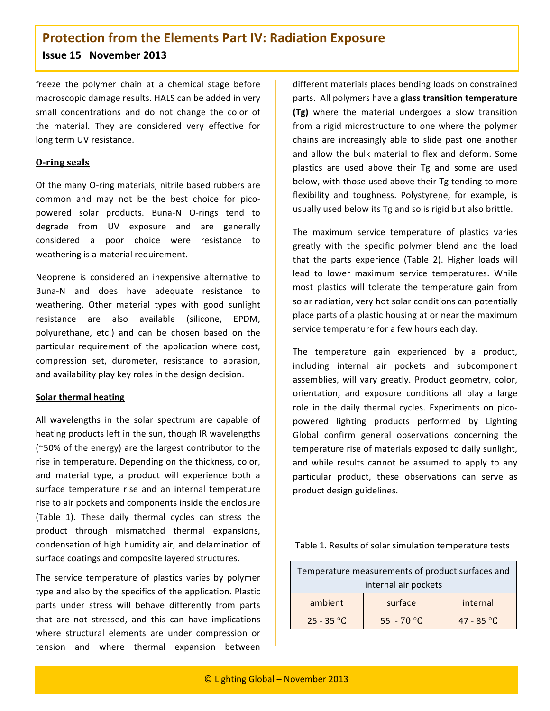# **Protection
from
the
Elements
Part
IV:
Radiation
Exposure Issue
15

November
2013**

freeze
 the
 polymer
 chain
 at
 a
 chemical
 stage
 before macroscopic
damage
results.
HALS
can
be
added
in
very small concentrations and do not change the color of the
 material.
 They
 are
 considered
 very
 effective
 for long
term
UV
resistance.

#### **O‐ring
seals**

Of the many O-ring materials, nitrile based rubbers are common and may not be the best choice for picopowered
 solar
 products.
 Buna‐N O‐rings tend
 to degrade
 from
 UV
 exposure
 and
 are
 generally considered
 a
 poor
 choice
 were
 resistance
 to weathering
is
a
material
requirement.

Neoprene
 is
 considered
 an
 inexpensive
 alternative
 to Buna‐N
 and
 does
 have
 adequate
 resistance
 to weathering.
 Other
 material
 types
 with
 good
 sunlight resistance
 are
 also
 available
 (silicone,
 EPDM, polyurethane,
 etc.)
 and
 can
 be
 chosen
 based
 on
 the particular requirement of the application where cost, compression
 set,
 durometer,
 resistance
 to
 abrasion, and
availability
play
key
roles
in
the
design
decision.

#### **Solar
thermal
heating**

All wavelengths in the solar spectrum are capable of heating
products
left
in
the
sun,
though
IR
wavelengths (~50%
of
the
energy)
are
the
largest
contributor
to
the rise
in
temperature.
Depending
on
the
thickness,
color, and
 material
 type,
 a
 product
 will
 experience
 both
 a surface temperature rise and an internal temperature rise
to
air
pockets
and
components
inside
the
enclosure (Table
 1).
 These
 daily
 thermal
 cycles
 can
 stress
 the product
 through
 mismatched
 thermal
 expansions, condensation
of
high
humidity
air,
and
delamination
of surface
coatings
and
composite
layered
structures.

The service temperature of plastics varies by polymer type
and
also
by
the
specifics
of
the
application.
Plastic parts under stress will behave differently from parts that are not stressed, and this can have implications where
 structural
 elements are
 under
 compression or tension and
 where thermal
 expansion
 between different
materials places
bending
loads
on
constrained parts.

All
polymers
have
a **glass
transition
temperature (Tg)** where
 the
 material
 undergoes
 a
 slow
 transition from a rigid microstructure to one where the polymer chains
 are
 increasingly
 able
 to
 slide
 past
 one
 another and allow the bulk material to flex and deform. Some plastics are used above their Tg and some are used below,
with
those
used
above
their
Tg
tending
to
more flexibility and toughness. Polystyrene, for example, is usually used below its Tg and so is rigid but also brittle.

The
 maximum
 service
 temperature
 of
 plastics
 varies greatly with the specific polymer blend and the load that
 the
 parts
 experience (Table
 2).
 Higher
 loads
 will lead
 to
 lower
 maximum
 service
 temperatures.
 While most plastics will tolerate the temperature gain from solar
radiation,
very
hot
solar
conditions can
potentially place parts of a plastic housing at or near the maximum service
temperature
for
a
few
hours
each
day.

The temperature gain experienced by a product, including internal air pockets and subcomponent assemblies, will vary greatly. Product geometry, color, orientation,
 and
 exposure conditions all
 play
 a
 large role in the daily thermal cycles. Experiments on picopowered
 lighting
 products performed by
 Lighting Global confirm general observations concerning the temperature rise of materials exposed to daily sunlight, and while results cannot be assumed to apply to any particular
 product, these
 observations
 can serve
 as product
design
guidelines.

|  |  |  |  | Table 1. Results of solar simulation temperature tests |  |
|--|--|--|--|--------------------------------------------------------|--|
|--|--|--|--|--------------------------------------------------------|--|

| Temperature measurements of product surfaces and |            |            |  |  |  |
|--------------------------------------------------|------------|------------|--|--|--|
| internal air pockets                             |            |            |  |  |  |
| ambient                                          | surface    | internal   |  |  |  |
| $25 - 35$ °C                                     | 55 - 70 °C | 47 - 85 °C |  |  |  |